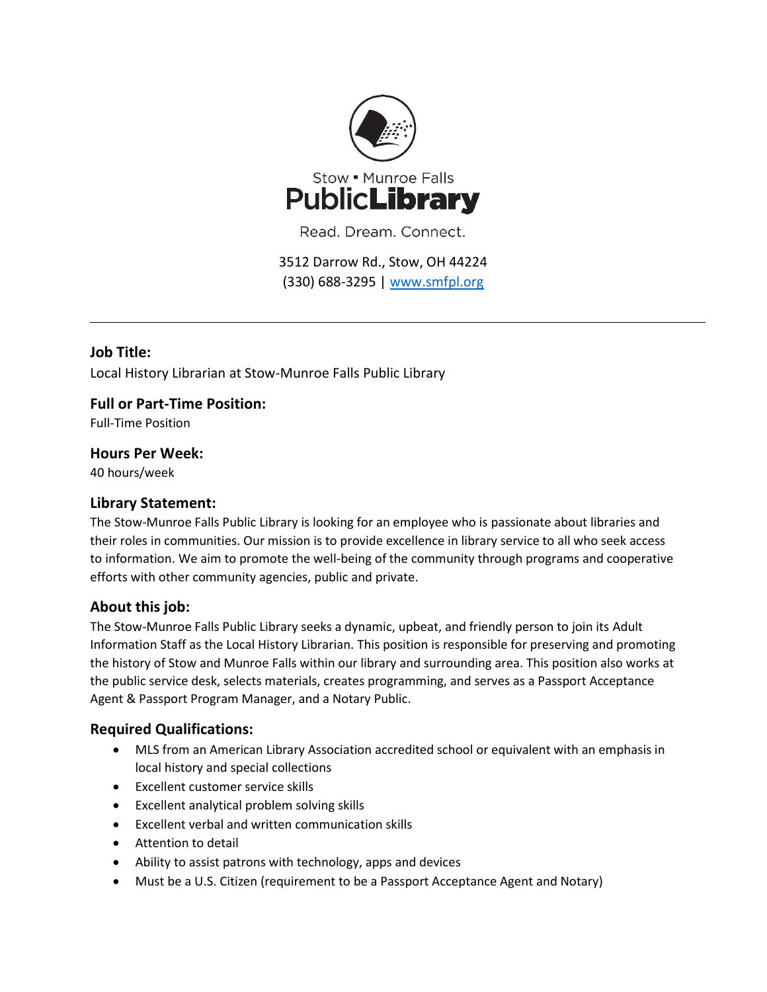

Read. Dream. Connect.

3512 Darrow Rd., Stow, OH 44224 (330) 688-3295 | [www.smfpl.org](http://www.smfpl.org/)

# **Job Title:**

Local History Librarian at Stow-Munroe Falls Public Library

# **Full or Part-Time Position:**

Full-Time Position

### **Hours Per Week:**

40 hours/week

## **Library Statement:**

The Stow-Munroe Falls Public Library is looking for an employee who is passionate about libraries and their roles in communities. Our mission is to provide excellence in library service to all who seek access to information. We aim to promote the well-being of the community through programs and cooperative efforts with other community agencies, public and private.

# **About this job:**

The Stow-Munroe Falls Public Library seeks a dynamic, upbeat, and friendly person to join its Adult Information Staff as the Local History Librarian. This position is responsible for preserving and promoting the history of Stow and Munroe Falls within our library and surrounding area. This position also works at the public service desk, selects materials, creates programming, and serves as a Passport Acceptance Agent & Passport Program Manager, and a Notary Public.

# **Required Qualifications:**

- MLS from an American Library Association accredited school or equivalent with an emphasis in local history and special collections
- Excellent customer service skills
- Excellent analytical problem solving skills
- Excellent verbal and written communication skills
- Attention to detail
- Ability to assist patrons with technology, apps and devices
- Must be a U.S. Citizen (requirement to be a Passport Acceptance Agent and Notary)